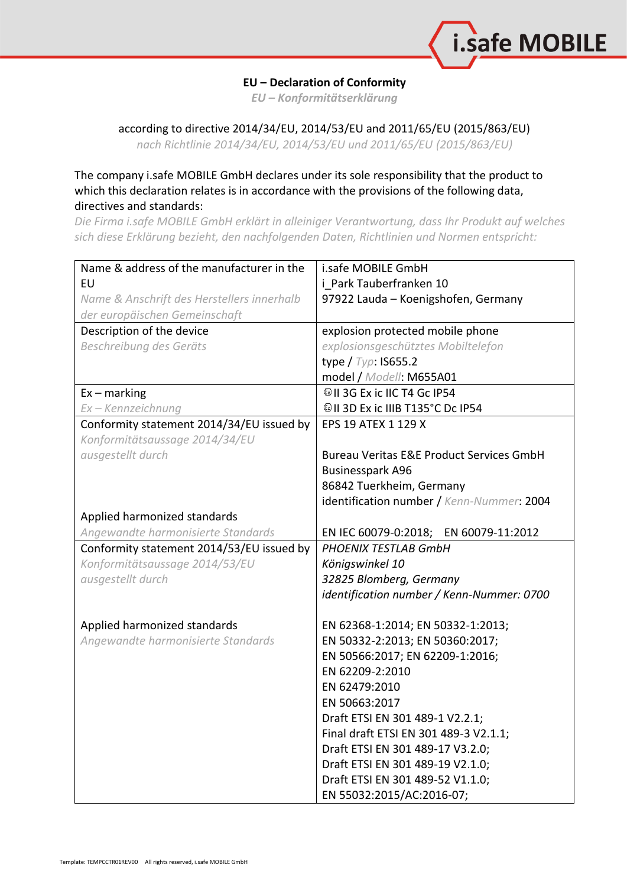

## **EU – Declaration of Conformity**

*EU – Konformitätserklärung*

## according to directive 2014/34/EU, 2014/53/EU and 2011/65/EU (2015/863/EU)

*nach Richtlinie 2014/34/EU, 2014/53/EU und 2011/65/EU (2015/863/EU)*

## The company i.safe MOBILE GmbH declares under its sole responsibility that the product to which this declaration relates is in accordance with the provisions of the following data, directives and standards:

*Die Firma i.safe MOBILE GmbH erklärt in alleiniger Verantwortung, dass Ihr Produkt auf welches sich diese Erklärung bezieht, den nachfolgenden Daten, Richtlinien und Normen entspricht:*

| Name & address of the manufacturer in the  | i.safe MOBILE GmbH                                  |
|--------------------------------------------|-----------------------------------------------------|
| <b>EU</b>                                  | i Park Tauberfranken 10                             |
| Name & Anschrift des Herstellers innerhalb | 97922 Lauda - Koenigshofen, Germany                 |
| der europäischen Gemeinschaft              |                                                     |
| Description of the device                  | explosion protected mobile phone                    |
| Beschreibung des Geräts                    | explosionsgeschütztes Mobiltelefon                  |
|                                            | type $/$ Typ: IS655.2                               |
|                                            | model / Modell: M655A01                             |
| $Ex -$ marking                             |                                                     |
| Ex - Kennzeichnung                         | <sup>©</sup> II 3D Ex ic IIIB T135°C Dc IP54        |
| Conformity statement 2014/34/EU issued by  | EPS 19 ATEX 1 129 X                                 |
| Konformitätsaussage 2014/34/EU             |                                                     |
| ausgestellt durch                          | <b>Bureau Veritas E&amp;E Product Services GmbH</b> |
|                                            | <b>Businesspark A96</b>                             |
|                                            | 86842 Tuerkheim, Germany                            |
|                                            | identification number / Kenn-Nummer: 2004           |
| Applied harmonized standards               |                                                     |
| Angewandte harmonisierte Standards         | EN IEC 60079-0:2018; EN 60079-11:2012               |
| Conformity statement 2014/53/EU issued by  | PHOENIX TESTLAB GmbH                                |
| Konformitätsaussage 2014/53/EU             | Königswinkel 10                                     |
| ausgestellt durch                          | 32825 Blomberg, Germany                             |
|                                            | identification number / Kenn-Nummer: 0700           |
|                                            |                                                     |
| Applied harmonized standards               | EN 62368-1:2014; EN 50332-1:2013;                   |
| Angewandte harmonisierte Standards         | EN 50332-2:2013; EN 50360:2017;                     |
|                                            | EN 50566:2017; EN 62209-1:2016;                     |
|                                            | EN 62209-2:2010                                     |
|                                            | EN 62479:2010                                       |
|                                            | EN 50663:2017                                       |
|                                            | Draft ETSI EN 301 489-1 V2.2.1;                     |
|                                            | Final draft ETSI EN 301 489-3 V2.1.1;               |
|                                            | Draft ETSI EN 301 489-17 V3.2.0;                    |
|                                            | Draft ETSI EN 301 489-19 V2.1.0;                    |
|                                            | Draft ETSI EN 301 489-52 V1.1.0;                    |
|                                            | EN 55032:2015/AC:2016-07;                           |